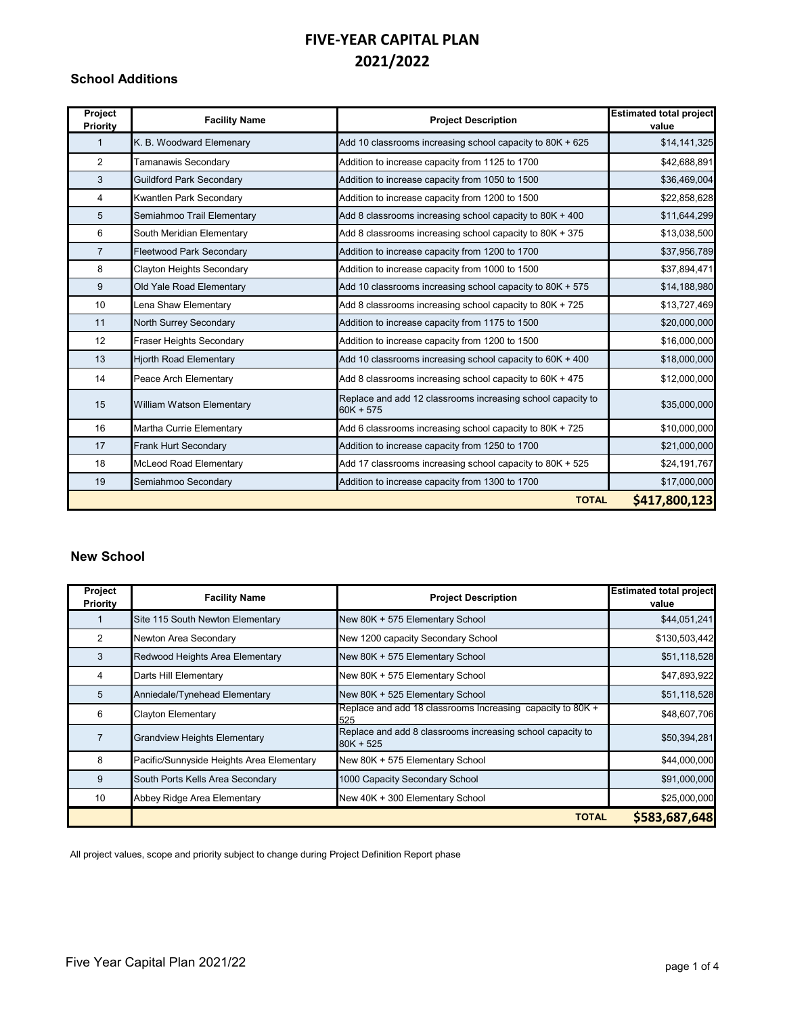#### **School Additions**

| Project<br>Priority | <b>Facility Name</b>            | <b>Project Description</b>                                                 | <b>Estimated total project</b><br>value |
|---------------------|---------------------------------|----------------------------------------------------------------------------|-----------------------------------------|
| $\mathbf{1}$        | K. B. Woodward Elemenary        | Add 10 classrooms increasing school capacity to 80K + 625                  | \$14,141,325                            |
| $\overline{2}$      | Tamanawis Secondary             | Addition to increase capacity from 1125 to 1700                            | \$42,688,891                            |
| 3                   | <b>Guildford Park Secondary</b> | Addition to increase capacity from 1050 to 1500                            | \$36,469,004                            |
| 4                   | Kwantlen Park Secondary         | Addition to increase capacity from 1200 to 1500                            | \$22,858,628                            |
| 5                   | Semiahmoo Trail Elementary      | Add 8 classrooms increasing school capacity to 80K + 400                   | \$11,644,299                            |
| 6                   | South Meridian Elementary       | Add 8 classrooms increasing school capacity to 80K + 375                   | \$13,038,500                            |
| $\overline{7}$      | <b>Fleetwood Park Secondary</b> | Addition to increase capacity from 1200 to 1700                            | \$37,956,789                            |
| 8                   | Clayton Heights Secondary       | Addition to increase capacity from 1000 to 1500                            | \$37,894,471                            |
| 9                   | Old Yale Road Elementary        | Add 10 classrooms increasing school capacity to 80K + 575                  | \$14,188,980                            |
| 10                  | Lena Shaw Elementary            | Add 8 classrooms increasing school capacity to 80K + 725                   | \$13,727,469                            |
| 11                  | North Surrey Secondary          | Addition to increase capacity from 1175 to 1500                            | \$20,000,000                            |
| 12 <sup>2</sup>     | <b>Fraser Heights Secondary</b> | Addition to increase capacity from 1200 to 1500                            | \$16,000,000                            |
| 13                  | <b>Hjorth Road Elementary</b>   | Add 10 classrooms increasing school capacity to $60K + 400$                | \$18,000,000                            |
| 14                  | Peace Arch Elementary           | Add 8 classrooms increasing school capacity to 60K + 475                   | \$12,000,000                            |
| 15                  | William Watson Elementary       | Replace and add 12 classrooms increasing school capacity to<br>$60K + 575$ | \$35,000,000                            |
| 16                  | Martha Currie Elementary        | Add 6 classrooms increasing school capacity to 80K + 725                   | \$10,000,000                            |
| 17                  | Frank Hurt Secondary            | Addition to increase capacity from 1250 to 1700                            | \$21,000,000                            |
| 18                  | McLeod Road Elementary          | Add 17 classrooms increasing school capacity to 80K + 525                  | \$24,191,767                            |
| 19                  | Semiahmoo Secondary             | Addition to increase capacity from 1300 to 1700                            | \$17,000,000                            |
|                     |                                 | <b>TOTAL</b>                                                               | \$417,800,123                           |

#### **New School**

| Project<br>Priority | <b>Facility Name</b>                      | <b>Project Description</b>                                                | <b>Estimated total project</b><br>value |
|---------------------|-------------------------------------------|---------------------------------------------------------------------------|-----------------------------------------|
|                     | Site 115 South Newton Elementary          | New 80K + 575 Elementary School                                           | \$44,051,241                            |
| 2                   | Newton Area Secondary                     | New 1200 capacity Secondary School                                        | \$130,503,442                           |
| 3                   | Redwood Heights Area Elementary           | New 80K + 575 Elementary School                                           | \$51,118,528                            |
| 4                   | Darts Hill Elementary                     | New 80K + 575 Elementary School                                           | \$47,893,922                            |
| 5                   | Anniedale/Tynehead Elementary             | New 80K + 525 Elementary School                                           | \$51,118,528                            |
| 6                   | <b>Clayton Elementary</b>                 | Replace and add 18 classrooms Increasing capacity to 80K +<br>525         | \$48,607,706                            |
|                     | <b>Grandview Heights Elementary</b>       | Replace and add 8 classrooms increasing school capacity to<br>$80K + 525$ | \$50,394,281                            |
| 8                   | Pacific/Sunnyside Heights Area Elementary | New 80K + 575 Elementary School                                           | \$44,000,000                            |
| 9                   | South Ports Kells Area Secondary          | 1000 Capacity Secondary School                                            | \$91,000,000                            |
| 10                  | Abbey Ridge Area Elementary               | New 40K + 300 Elementary School                                           | \$25,000,000                            |
|                     |                                           | <b>TOTAL</b>                                                              | \$583,687,648                           |

All project values, scope and priority subject to change during Project Definition Report phase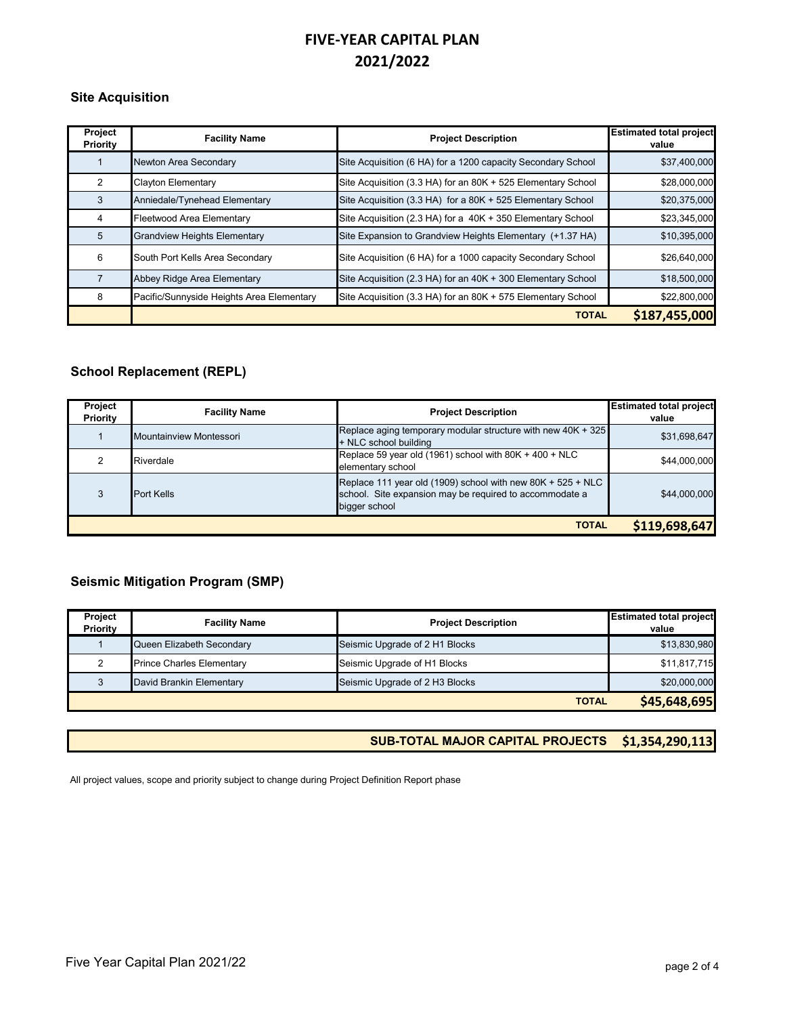#### **Site Acquisition**

| Project<br><b>Priority</b> | <b>Facility Name</b>                      | <b>Project Description</b>                                   | <b>Estimated total project</b><br>value |
|----------------------------|-------------------------------------------|--------------------------------------------------------------|-----------------------------------------|
|                            | Newton Area Secondary                     | Site Acquisition (6 HA) for a 1200 capacity Secondary School | \$37,400,000                            |
| $\mathcal{P}$              | <b>Clayton Elementary</b>                 | Site Acquisition (3.3 HA) for an 80K + 525 Elementary School | \$28,000,000                            |
| 3                          | Anniedale/Tynehead Elementary             | Site Acquisition (3.3 HA) for a 80K + 525 Elementary School  | \$20,375,000                            |
| 4                          | Fleetwood Area Elementary                 | Site Acquisition (2.3 HA) for a 40K + 350 Elementary School  | \$23,345,000                            |
| 5                          | <b>Grandview Heights Elementary</b>       | Site Expansion to Grandview Heights Elementary (+1.37 HA)    | \$10,395,000                            |
| 6                          | South Port Kells Area Secondary           | Site Acquisition (6 HA) for a 1000 capacity Secondary School | \$26,640,000                            |
|                            | Abbey Ridge Area Elementary               | Site Acquisition (2.3 HA) for an 40K + 300 Elementary School | \$18,500,000                            |
| 8                          | Pacific/Sunnyside Heights Area Elementary | Site Acquisition (3.3 HA) for an 80K + 575 Elementary School | \$22,800,000                            |
|                            |                                           | <b>TOTAL</b>                                                 | \$187,455,000                           |

### **School Replacement (REPL)**

| Project<br>Priority           | <b>Facility Name</b>    | <b>Project Description</b>                                                                                                                | <b>Estimated total project</b><br>value |
|-------------------------------|-------------------------|-------------------------------------------------------------------------------------------------------------------------------------------|-----------------------------------------|
|                               | Mountainview Montessori | Replace aging temporary modular structure with new 40K + 325<br>+ NLC school building                                                     | \$31,698,647                            |
|                               | Riverdale               | Replace 59 year old (1961) school with $80K + 400 + NLC$<br>elementary school                                                             | \$44,000,000                            |
|                               | <b>Port Kells</b>       | Replace 111 year old (1909) school with new 80K + $525 + NLC$<br>school. Site expansion may be required to accommodate a<br>bigger school | \$44,000,000                            |
| \$119,698,647<br><b>TOTAL</b> |                         |                                                                                                                                           |                                         |

### **Seismic Mitigation Program (SMP)**

| Project<br><b>Priority</b> | <b>Facility Name</b>             | <b>Project Description</b>     | <b>Estimated total project</b><br>value |
|----------------------------|----------------------------------|--------------------------------|-----------------------------------------|
|                            | Queen Elizabeth Secondary        | Seismic Upgrade of 2 H1 Blocks | \$13,830,980                            |
|                            | <b>Prince Charles Elementary</b> | Seismic Upgrade of H1 Blocks   | \$11,817,715                            |
|                            | David Brankin Elementary         | Seismic Upgrade of 2 H3 Blocks | \$20,000,000                            |
|                            |                                  | <b>TOTAL</b>                   | \$45,648,695                            |

**SUB-TOTAL MAJOR CAPITAL PROJECTS \$1,354,290,113**

All project values, scope and priority subject to change during Project Definition Report phase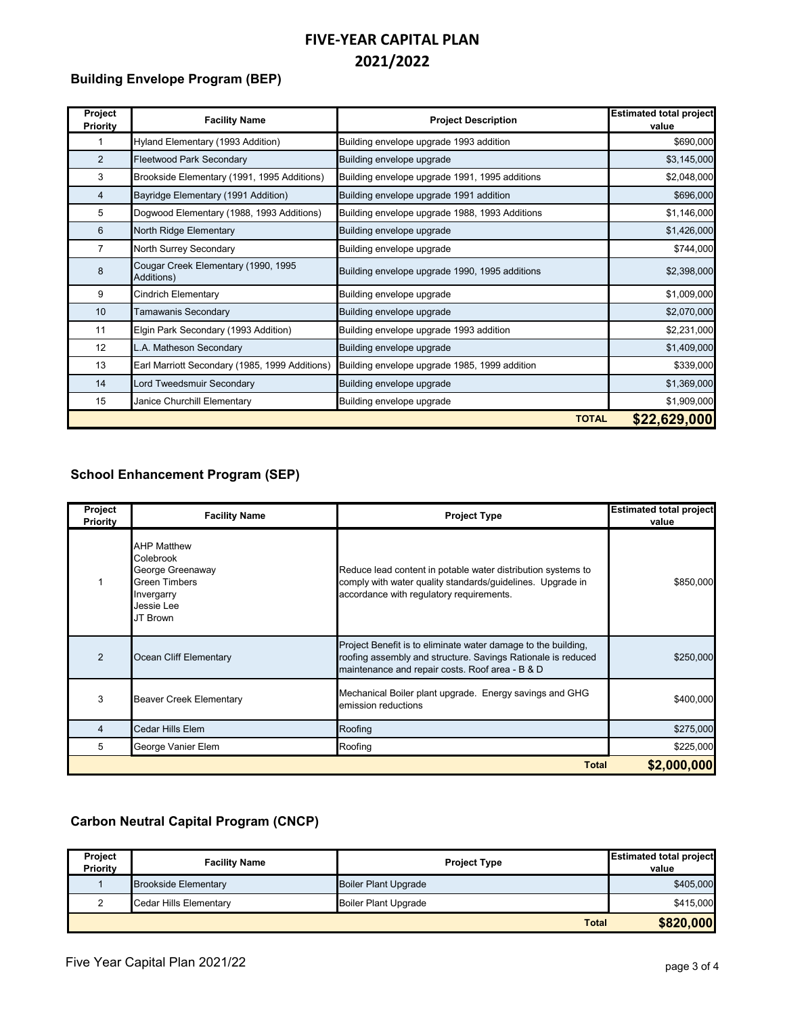### **Building Envelope Program (BEP)**

| Project<br><b>Priority</b> | <b>Facility Name</b>                              | <b>Project Description</b>                     | <b>Estimated total project</b><br>value |
|----------------------------|---------------------------------------------------|------------------------------------------------|-----------------------------------------|
| 1                          | Hyland Elementary (1993 Addition)                 | Building envelope upgrade 1993 addition        | \$690,000                               |
| $\overline{2}$             | <b>Fleetwood Park Secondary</b>                   | Building envelope upgrade                      | \$3,145,000                             |
| 3                          | Brookside Elementary (1991, 1995 Additions)       | Building envelope upgrade 1991, 1995 additions | \$2,048,000                             |
| 4                          | Bayridge Elementary (1991 Addition)               | Building envelope upgrade 1991 addition        | \$696,000                               |
| 5                          | Dogwood Elementary (1988, 1993 Additions)         | Building envelope upgrade 1988, 1993 Additions | \$1,146,000                             |
| 6                          | North Ridge Elementary                            | Building envelope upgrade                      | \$1,426,000                             |
| $\overline{7}$             | North Surrey Secondary                            | Building envelope upgrade                      | \$744,000                               |
| 8                          | Cougar Creek Elementary (1990, 1995<br>Additions) | Building envelope upgrade 1990, 1995 additions | \$2,398,000                             |
| 9                          | <b>Cindrich Elementary</b>                        | Building envelope upgrade                      | \$1,009,000                             |
| 10 <sup>°</sup>            | Tamawanis Secondary                               | Building envelope upgrade                      | \$2,070,000                             |
| 11                         | Elgin Park Secondary (1993 Addition)              | Building envelope upgrade 1993 addition        | \$2,231,000                             |
| 12                         | L.A. Matheson Secondary                           | Building envelope upgrade                      | \$1,409,000                             |
| 13                         | Earl Marriott Secondary (1985, 1999 Additions)    | Building envelope upgrade 1985, 1999 addition  | \$339,000                               |
| 14                         | Lord Tweedsmuir Secondary                         | Building envelope upgrade                      | \$1,369,000                             |
| 15                         | Janice Churchill Elementary                       | Building envelope upgrade                      | \$1,909,000                             |
|                            |                                                   | <b>TOTAL</b>                                   | \$22,629,000                            |

### **School Enhancement Program (SEP)**

| Project<br>Priority | <b>Facility Name</b>                                                                                         | <b>Project Type</b>                                                                                                                                                              | <b>Estimated total project</b><br>value |
|---------------------|--------------------------------------------------------------------------------------------------------------|----------------------------------------------------------------------------------------------------------------------------------------------------------------------------------|-----------------------------------------|
|                     | <b>AHP Matthew</b><br>Colebrook<br>George Greenaway<br>Green Timbers<br>Invergarry<br>Jessie Lee<br>JT Brown | Reduce lead content in potable water distribution systems to<br>comply with water quality standards/guidelines. Upgrade in<br>accordance with regulatory requirements.           | \$850,000                               |
| $\mathfrak{p}$      | Ocean Cliff Elementary                                                                                       | Project Benefit is to eliminate water damage to the building,<br>roofing assembly and structure. Savings Rationale is reduced<br>maintenance and repair costs. Roof area - B & D | \$250,000                               |
| 3                   | <b>Beaver Creek Elementary</b>                                                                               | Mechanical Boiler plant upgrade. Energy savings and GHG<br>emission reductions                                                                                                   | \$400,000                               |
| 4                   | Cedar Hills Elem                                                                                             | Roofing                                                                                                                                                                          | \$275,000                               |
| 5                   | George Vanier Elem                                                                                           | Roofing                                                                                                                                                                          | \$225,000                               |
| <b>Total</b>        |                                                                                                              |                                                                                                                                                                                  | \$2,000,000                             |

## **Carbon Neutral Capital Program (CNCP)**

| Project<br>Priority | <b>Facility Name</b>          | <b>Project Type</b>         | <b>Estimated total project</b><br>value |
|---------------------|-------------------------------|-----------------------------|-----------------------------------------|
|                     | <b>Brookside Elementary</b>   | <b>Boiler Plant Upgrade</b> | \$405,000                               |
|                     | <b>Cedar Hills Elementary</b> | <b>Boiler Plant Upgrade</b> | \$415,000                               |
|                     |                               | <b>Total</b>                | \$820,000                               |